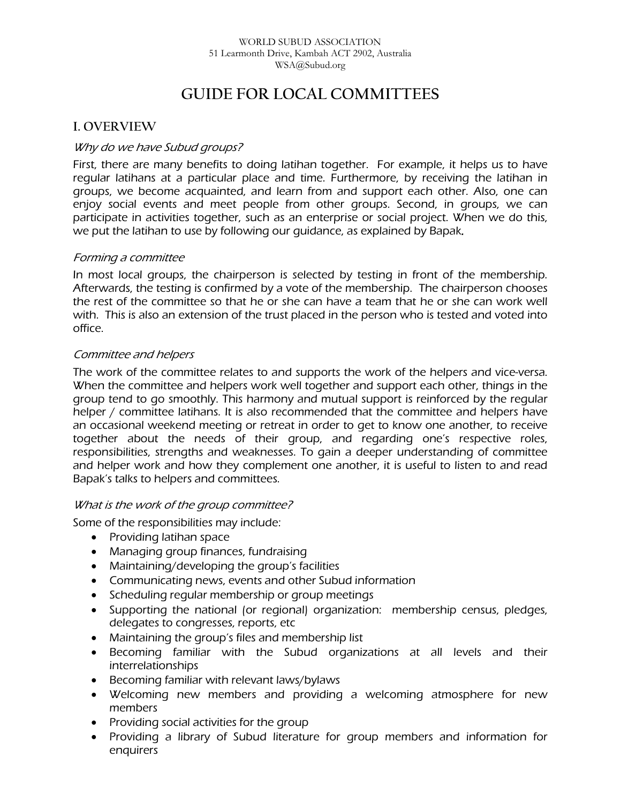# **GUIDE FOR LOCAL COMMITTEES**

# **I. OVERVIEW**

# Why do we have Subud groups?

First, there are many benefits to doing latihan together. For example, it helps us to have regular latihans at a particular place and time. Furthermore, by receiving the latihan in groups, we become acquainted, and learn from and support each other. Also, one can enjoy social events and meet people from other groups. Second, in groups, we can participate in activities together, such as an enterprise or social project. When we do this, we put the latihan to use by following our guidance, as explained by Bapak.

### Forming a committee

In most local groups, the chairperson is selected by testing in front of the membership. Afterwards, the testing is confirmed by a vote of the membership. The chairperson chooses the rest of the committee so that he or she can have a team that he or she can work well with. This is also an extension of the trust placed in the person who is tested and voted into office.

# Committee and helpers

The work of the committee relates to and supports the work of the helpers and vice-versa. When the committee and helpers work well together and support each other, things in the group tend to go smoothly. This harmony and mutual support is reinforced by the regular helper / committee latihans. It is also recommended that the committee and helpers have an occasional weekend meeting or retreat in order to get to know one another, to receive together about the needs of their group, and regarding one's respective roles, responsibilities, strengths and weaknesses. To gain a deeper understanding of committee and helper work and how they complement one another, it is useful to listen to and read Bapak's talks to helpers and committees.

### What is the work of the group committee?

Some of the responsibilities may include:

- Providing latihan space
- Managing group finances, fundraising
- Maintaining/developing the group's facilities
- Communicating news, events and other Subud information
- Scheduling regular membership or group meetings
- Supporting the national (or regional) organization: membership census, pledges, delegates to congresses, reports, etc
- Maintaining the group's files and membership list
- Becoming familiar with the Subud organizations at all levels and their interrelationships
- Becoming familiar with relevant laws/bylaws
- Welcoming new members and providing a welcoming atmosphere for new members
- Providing social activities for the group
- Providing a library of Subud literature for group members and information for enquirers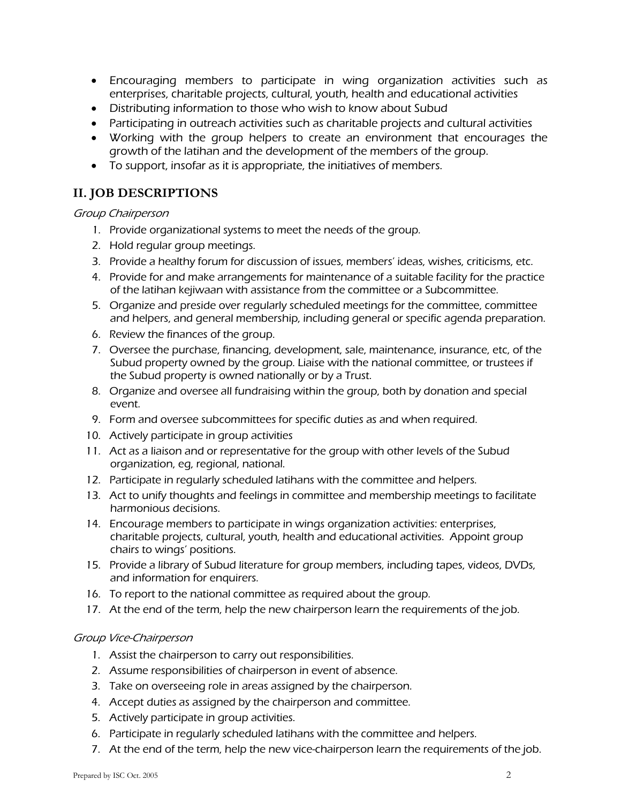- Encouraging members to participate in wing organization activities such as enterprises, charitable projects, cultural, youth, health and educational activities
- Distributing information to those who wish to know about Subud
- Participating in outreach activities such as charitable projects and cultural activities
- Working with the group helpers to create an environment that encourages the growth of the latihan and the development of the members of the group.
- To support, insofar as it is appropriate, the initiatives of members.

# **II. JOB DESCRIPTIONS**

### Group Chairperson

- 1. Provide organizational systems to meet the needs of the group.
- 2. Hold regular group meetings.
- 3. Provide a healthy forum for discussion of issues, members' ideas, wishes, criticisms, etc.
- 4. Provide for and make arrangements for maintenance of a suitable facility for the practice of the latihan kejiwaan with assistance from the committee or a Subcommittee.
- 5. Organize and preside over regularly scheduled meetings for the committee, committee and helpers, and general membership, including general or specific agenda preparation.
- 6. Review the finances of the group.
- 7. Oversee the purchase, financing, development, sale, maintenance, insurance, etc, of the Subud property owned by the group. Liaise with the national committee, or trustees if the Subud property is owned nationally or by a Trust.
- 8. Organize and oversee all fundraising within the group, both by donation and special event.
- 9. Form and oversee subcommittees for specific duties as and when required.
- 10. Actively participate in group activities
- 11. Act as a liaison and or representative for the group with other levels of the Subud organization, eg, regional, national.
- 12. Participate in regularly scheduled latihans with the committee and helpers.
- 13. Act to unify thoughts and feelings in committee and membership meetings to facilitate harmonious decisions.
- 14. Encourage members to participate in wings organization activities: enterprises, charitable projects, cultural, youth, health and educational activities. Appoint group chairs to wings' positions.
- 15. Provide a library of Subud literature for group members, including tapes, videos, DVDs, and information for enquirers.
- 16. To report to the national committee as required about the group.
- 17. At the end of the term, help the new chairperson learn the requirements of the job.

#### Group Vice-Chairperson

- 1. Assist the chairperson to carry out responsibilities.
- 2. Assume responsibilities of chairperson in event of absence.
- 3. Take on overseeing role in areas assigned by the chairperson.
- 4. Accept duties as assigned by the chairperson and committee.
- 5. Actively participate in group activities.
- 6. Participate in regularly scheduled latihans with the committee and helpers.
- 7. At the end of the term, help the new vice-chairperson learn the requirements of the job.